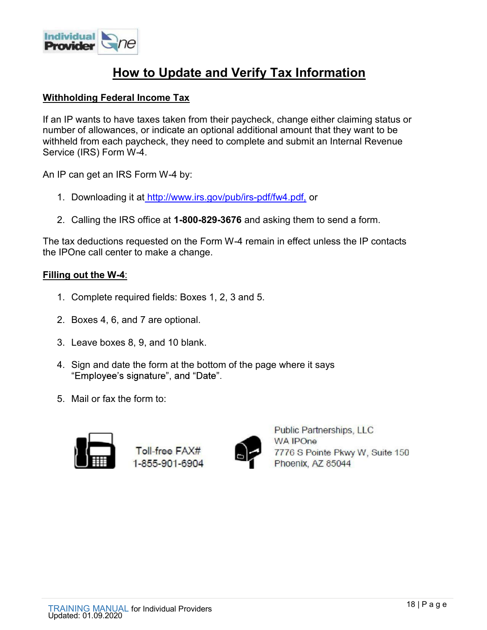

# **How to Update and Verify Tax Information**

#### Withholding Federal Income Tax

If an IP wants to have taxes taken from their paycheck, change either claiming status or number of allowances, or indicate an optional additional amount that they want to be withheld from each paycheck, they need to complete and submit an Internal Revenue Service (IRS) Form W-4. **Example 1. Dow to Update and Verify Tax Information**<br> **I. Pow to Update and Verify Tax Information**<br>
In Plemation and the paycheck, change either claiming status<br>
Interval at http://www.irs.gov/pub/irs-pdf/fw4.pdf, or<br>
IP **Example 12. Consider Software Considers and Server Tax Information**<br> **Example 10. Consider the IRS of IRS of IRS of IRS of IRS of IRS of IRS of IRS of IRS of IRS of IRS of IRS of<br>
the IRS of IRS of IRS of IRS of IRS of IR hholding Federal Income Tax**<br>
In IP wants to have taxes taken from their paycheck, change either<br>
Inhere of allowances, or indicate an optional additional amount that<br>
Inheld from each paycheck, they need to complete and n IP wants to have taxes taken from their paycheck, change either their of allowances, or indicate an optional additional amount that held from each paycheck, they need to complete and submit an I vice (IRS) Form W-4.<br>IP c held from each paycheck, they need to complete and submit an l<br>vice (IRS) Form W-4.<br>IP can get an IRS Form W-4 by:<br>1. Downloading it at http://www.irs.gov/pub/irs-pdf/fw4.pdf, or<br>2. Calling the IRS office at **1-800-829-367** 

An IP can get an IRS Form W-4 by:

- 
- 

The tax deductions requested on the Form W-4 remain in effect unless the IP contacts the IPOne call center to make a change. 1. Downloading it at http://www.irs.gov/pub/irs-pdf/fw4.pdf, or<br>
1. Downloading it at http://www.irs.gov/pub/irs-pdf/fw4.pdf, or<br>
2. Calling the IRS office at **1-800-829-3676** and asking them to send a form.<br>
tax deduction

#### Filling out the W-4:

- 
- 
- 
- 1. Downloading it at http://www.irs.gov/pub/irs-pdf/fw4.pdf, or<br>
2. Calling the IRS office at 1-800-829-3676 and asking them to s<br>
tax deductions requested on the Form W-4 remain in effect unle<br>
IPOne call center to make
- 





Public Partnerships, LLC<br>
Toll-free FAX#<br>
1-855-901-6904<br>
TRAINING MANUAL for Individual Providers<br>
18 | P a g e<br>
18 | P a g e<br>
18 | P a g e<br>
18 | P a g e<br>
18 | P a g e<br>
18 | P a g e<br>
18 | P a g e<br>
18 | P a g e<br>
18 | P a g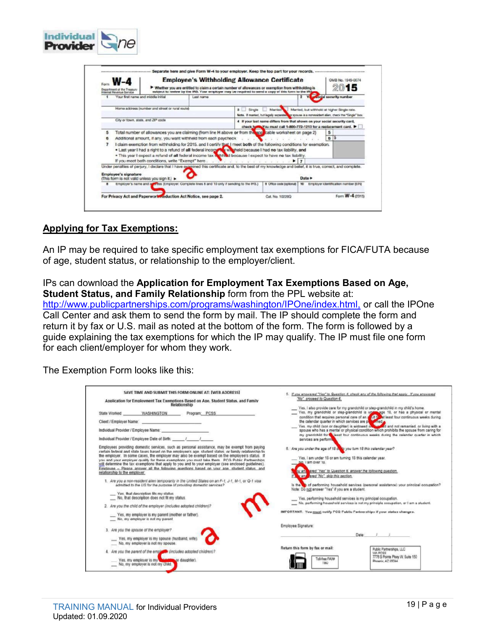| W-4<br>Department of the Treatury<br>venue Sarvice |                                                                                                                                                                                                                                                                                                                                                                                                                                                                            | <b>Employee's Withholding Allowance Certificate</b><br>▶ Whether you are entitled to claim a certain number of allowances or exemption from withholding is<br>subject to review by the IRS. Your employer may be required to send a copy of this form to the IRS | OMB No. 1545-0074<br>15              |
|----------------------------------------------------|----------------------------------------------------------------------------------------------------------------------------------------------------------------------------------------------------------------------------------------------------------------------------------------------------------------------------------------------------------------------------------------------------------------------------------------------------------------------------|------------------------------------------------------------------------------------------------------------------------------------------------------------------------------------------------------------------------------------------------------------------|--------------------------------------|
|                                                    | Your first name and middle initial<br>Last name                                                                                                                                                                                                                                                                                                                                                                                                                            |                                                                                                                                                                                                                                                                  | social security numbe                |
|                                                    | Home address (number and street or rural route)                                                                                                                                                                                                                                                                                                                                                                                                                            | Married, but withhold at higher Single rate.                                                                                                                                                                                                                     |                                      |
|                                                    | City or town, state, and ZIP code                                                                                                                                                                                                                                                                                                                                                                                                                                          | Note. If mamed, but legally separated for spouse is a nonresident alien, check the "Single" box.<br>4 If your last name differs from that shown on your social security card,                                                                                    |                                      |
|                                                    | Total number of allowances you are claiming (from line H above or from the approable worksheet on page 2)                                                                                                                                                                                                                                                                                                                                                                  | check hole You must call 1-800-772-1213 for a replacement card.                                                                                                                                                                                                  |                                      |
|                                                    | Additional amount, if any, you want withheld from each paycheck<br>I claim exemption from withholding for 2015, and I certify that I meet both of the following conditions for exemption.<br>. Last year I had a right to a refund of all federal incomet whicheld because I had no tax liability, and<br>. This year I expect a refund of all federal income tax withheld because I expect to have no tax liability.<br>If you meet both conditions, write "Exempt" here. | F 7                                                                                                                                                                                                                                                              | 6 5                                  |
| <b>Employee's signature</b>                        | Under penalties of perjury, I declare that I have exemined this certificate and, to the best of my knowledge and belief, it is true, correct, and complete.<br>(This form is not valid unless you sign it.) >                                                                                                                                                                                                                                                              |                                                                                                                                                                                                                                                                  |                                      |
|                                                    | Employer's name and a Firess (Employer: Complete lines 8 and 10 only if sending to the IRS.)                                                                                                                                                                                                                                                                                                                                                                               | 9 Office code (optional) 10                                                                                                                                                                                                                                      | Employer identification number (EIN) |
|                                                    | For Privacy Act and Paperwork Reduction Act Notice, see page 2.                                                                                                                                                                                                                                                                                                                                                                                                            | Cat. No. 102200                                                                                                                                                                                                                                                  | Form W-4 (2015)                      |
|                                                    |                                                                                                                                                                                                                                                                                                                                                                                                                                                                            |                                                                                                                                                                                                                                                                  |                                      |
|                                                    |                                                                                                                                                                                                                                                                                                                                                                                                                                                                            |                                                                                                                                                                                                                                                                  |                                      |
| <b>Applying for Tax Exemptions:</b>                | An IP may be required to take specific employment tax exemptions for FICA/FUTA because<br>of age, student status, or relationship to the employer/client.                                                                                                                                                                                                                                                                                                                  |                                                                                                                                                                                                                                                                  |                                      |
|                                                    | IPs can download the Application for Employment Tax Exemptions Based on Age,<br>Student Status, and Family Relationship form from the PPL website at:                                                                                                                                                                                                                                                                                                                      |                                                                                                                                                                                                                                                                  |                                      |
|                                                    | http://www.publicpartnerships.com/programs/washington/IPOne/index.html, or call the IPOne                                                                                                                                                                                                                                                                                                                                                                                  |                                                                                                                                                                                                                                                                  |                                      |
|                                                    | Call Center and ask them to send the form by mail. The IP should complete the form and<br>return it by fax or U.S. mail as noted at the bottom of the form. The form is followed by a                                                                                                                                                                                                                                                                                      |                                                                                                                                                                                                                                                                  |                                      |
|                                                    | guide explaining the tax exemptions for which the IP may qualify. The IP must file one form<br>for each client/employer for whom they work.                                                                                                                                                                                                                                                                                                                                |                                                                                                                                                                                                                                                                  |                                      |

## Applying for Tax Exemptions:

Individual

The Exemption Form looks like this:

| SAVE TIME AND SUBMIT THIS FORM ONLINE AT: [WEB ADDRESS]                                                                                                                                                                                                                                                                                                                                                                                                                                                                                                                                                                                                                                                                                                                                                                                                                                                                                                                                                                                                                                | 5. If you answered "Yes" to Question 4, check any of the following that apply. If you answered                                                                                                                                                                                                                                                                                                                                                                                                                                                                                                                                                          |  |
|----------------------------------------------------------------------------------------------------------------------------------------------------------------------------------------------------------------------------------------------------------------------------------------------------------------------------------------------------------------------------------------------------------------------------------------------------------------------------------------------------------------------------------------------------------------------------------------------------------------------------------------------------------------------------------------------------------------------------------------------------------------------------------------------------------------------------------------------------------------------------------------------------------------------------------------------------------------------------------------------------------------------------------------------------------------------------------------|---------------------------------------------------------------------------------------------------------------------------------------------------------------------------------------------------------------------------------------------------------------------------------------------------------------------------------------------------------------------------------------------------------------------------------------------------------------------------------------------------------------------------------------------------------------------------------------------------------------------------------------------------------|--|
| Application for Employment Tax Exemptions Based on Age. Student Status, and Family                                                                                                                                                                                                                                                                                                                                                                                                                                                                                                                                                                                                                                                                                                                                                                                                                                                                                                                                                                                                     | "No", proceed to Question 6.                                                                                                                                                                                                                                                                                                                                                                                                                                                                                                                                                                                                                            |  |
| Relationship                                                                                                                                                                                                                                                                                                                                                                                                                                                                                                                                                                                                                                                                                                                                                                                                                                                                                                                                                                                                                                                                           | Yes, I also provide care for my grandchild or step-grandchild in my child's home.                                                                                                                                                                                                                                                                                                                                                                                                                                                                                                                                                                       |  |
| WASHINGTON                                                                                                                                                                                                                                                                                                                                                                                                                                                                                                                                                                                                                                                                                                                                                                                                                                                                                                                                                                                                                                                                             | Yes, my grandchild or step-grandchild is update age 18, or has a physical or mental                                                                                                                                                                                                                                                                                                                                                                                                                                                                                                                                                                     |  |
| State Worked:                                                                                                                                                                                                                                                                                                                                                                                                                                                                                                                                                                                                                                                                                                                                                                                                                                                                                                                                                                                                                                                                          | the calendar quarter in which services are put a med.                                                                                                                                                                                                                                                                                                                                                                                                                                                                                                                                                                                                   |  |
| Program: PCSS                                                                                                                                                                                                                                                                                                                                                                                                                                                                                                                                                                                                                                                                                                                                                                                                                                                                                                                                                                                                                                                                          | Yes, my child (son or daughter) is widowed of the and not remarried, or living with a                                                                                                                                                                                                                                                                                                                                                                                                                                                                                                                                                                   |  |
| Client / Employer Name: experience of the control of the control of the control of the control of the control of the control of the control of the control of the control of the control of the control of the control of the                                                                                                                                                                                                                                                                                                                                                                                                                                                                                                                                                                                                                                                                                                                                                                                                                                                          | spouse who has a mental or physical condition which prohibits the spouse from caring for                                                                                                                                                                                                                                                                                                                                                                                                                                                                                                                                                                |  |
| Individual Provider / Employee Name:                                                                                                                                                                                                                                                                                                                                                                                                                                                                                                                                                                                                                                                                                                                                                                                                                                                                                                                                                                                                                                                   | my grandchild for a least four continuous weeks during the calendar quarter in which                                                                                                                                                                                                                                                                                                                                                                                                                                                                                                                                                                    |  |
| Individual Provider / Employee Date of Birth: // // //                                                                                                                                                                                                                                                                                                                                                                                                                                                                                                                                                                                                                                                                                                                                                                                                                                                                                                                                                                                                                                 | services are perform                                                                                                                                                                                                                                                                                                                                                                                                                                                                                                                                                                                                                                    |  |
| Employees providing domestic services, such as personal assistance, may be exempt from paying<br>certain federal and state taxes based on the emolovee's age, student status, or family relationship to<br>the employer. In some cases, the employer may also be exempt based on the employee's status. If<br>you and your employer qualify for these exemptions you must take them. PCG Public Partnerships<br>will determine the tax exemptions that apply to you and to your employer (see enclosed guidelines).<br>Employee - Please answer all the following guestions based on your age, student status, and<br>relationship to the employer.<br>1. Are you a non-resident alien temporarily in the United States on an F-1, J-1, M-1, or Q-1 visa<br>admitted to the US for the purpose of providing domestic services?<br>Yes, that description fits my status.<br>No, that description does not fit my status.<br>2. Are you the child of the employer (includes adopted children)?<br>Yes, my employer is my parent (mother or father).<br>No, my employer is not my parent. | 6. Are you under the age of 18 cody you turn 18 this calendar year?<br>Yes, I am under 18 or am turning 18 this calendar year.<br>No. I am over 18.<br>ou an ered "Yes" to Question 6, answer the following question.<br>w answered "No", akip this section,<br>is the the of performing household services (personal assistance) your principal occupation?<br>Note: Do not answer "Yes' if you are a student.<br>Yes, performing household services is my principal occupation.<br>No. performing household services is not my principle occupation, or I am a student.<br>IMPORTANT: You must notify PCG Public Partnerships if your status changes. |  |
| 3. Are you the spouse of the employer?                                                                                                                                                                                                                                                                                                                                                                                                                                                                                                                                                                                                                                                                                                                                                                                                                                                                                                                                                                                                                                                 | Employee Signature:                                                                                                                                                                                                                                                                                                                                                                                                                                                                                                                                                                                                                                     |  |
| Yes, my employer is my spouse (husband, wife).<br>No, my employer is not my spouse.                                                                                                                                                                                                                                                                                                                                                                                                                                                                                                                                                                                                                                                                                                                                                                                                                                                                                                                                                                                                    | Date: / /                                                                                                                                                                                                                                                                                                                                                                                                                                                                                                                                                                                                                                               |  |
| 4. Are you the parent of the employer (includes adopted children)?<br>Yes, my employer is my<br>or daughter).<br>No, my employer is not my child.                                                                                                                                                                                                                                                                                                                                                                                                                                                                                                                                                                                                                                                                                                                                                                                                                                                                                                                                      | Return this form by fax or mail:<br><b>Public Partnerships, LLC</b><br><b>WA PCSS</b><br>7776 S Pointe Playy W. Suite 150<br>Toll-free FAX#<br>Phoenix, AZ 95044<br>TRO                                                                                                                                                                                                                                                                                                                                                                                                                                                                                 |  |